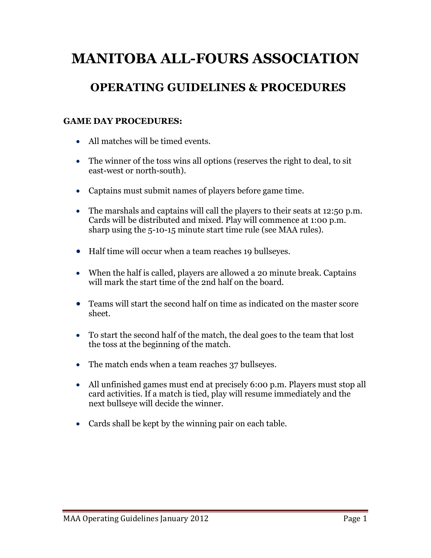# **MANITOBA ALL-FOURS ASSOCIATION**

## **OPERATING GUIDELINES & PROCEDURES**

#### **GAME DAY PROCEDURES:**

- All matches will be timed events.
- The winner of the toss wins all options (reserves the right to deal, to sit east-west or north-south).
- Captains must submit names of players before game time.
- The marshals and captains will call the players to their seats at 12:50 p.m. Cards will be distributed and mixed. Play will commence at 1:00 p.m. sharp using the 5-10-15 minute start time rule (see MAA rules).
- Half time will occur when a team reaches 19 bullseyes.
- When the half is called, players are allowed a 20 minute break. Captains will mark the start time of the 2nd half on the board.
- Teams will start the second half on time as indicated on the master score sheet.
- To start the second half of the match, the deal goes to the team that lost the toss at the beginning of the match.
- The match ends when a team reaches 37 bullseyes.
- All unfinished games must end at precisely 6:00 p.m. Players must stop all card activities. If a match is tied, play will resume immediately and the next bullseye will decide the winner.
- Cards shall be kept by the winning pair on each table.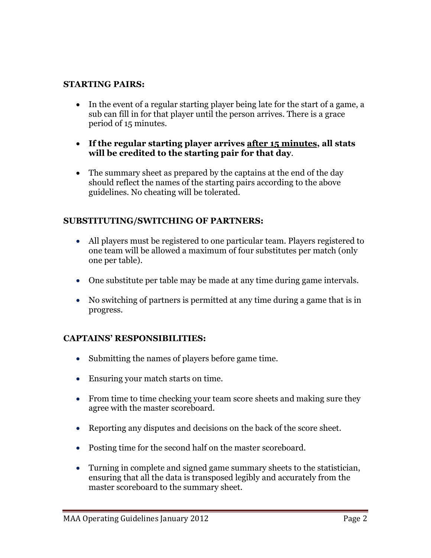#### **STARTING PAIRS:**

- In the event of a regular starting player being late for the start of a game, a sub can fill in for that player until the person arrives. There is a grace period of 15 minutes.
- **If the regular starting player arrives after 15 minutes, all stats will be credited to the starting pair for that day**.
- The summary sheet as prepared by the captains at the end of the day should reflect the names of the starting pairs according to the above guidelines. No cheating will be tolerated.

#### **SUBSTITUTING/SWITCHING OF PARTNERS:**

- All players must be registered to one particular team. Players registered to one team will be allowed a maximum of four substitutes per match (only one per table).
- One substitute per table may be made at any time during game intervals.
- No switching of partners is permitted at any time during a game that is in progress.

#### **CAPTAINS' RESPONSIBILITIES:**

- Submitting the names of players before game time.
- Ensuring your match starts on time.
- From time to time checking your team score sheets and making sure they agree with the master scoreboard.
- Reporting any disputes and decisions on the back of the score sheet.
- Posting time for the second half on the master scoreboard.
- Turning in complete and signed game summary sheets to the statistician, ensuring that all the data is transposed legibly and accurately from the master scoreboard to the summary sheet.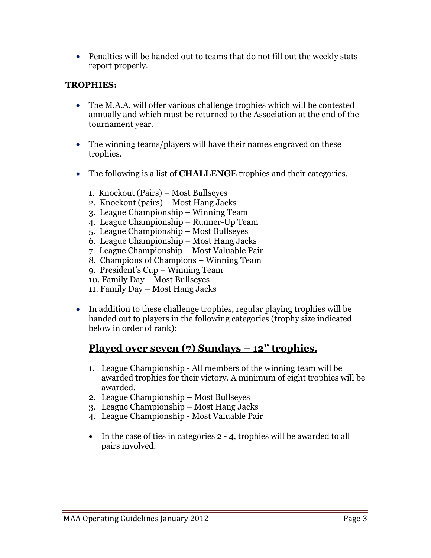• Penalties will be handed out to teams that do not fill out the weekly stats report properly.

#### **TROPHIES:**

- The M.A.A. will offer various challenge trophies which will be contested annually and which must be returned to the Association at the end of the tournament year.
- The winning teams/players will have their names engraved on these trophies.
- The following is a list of **CHALLENGE** trophies and their categories.
	- 1. Knockout (Pairs) Most Bullseyes
	- 2. Knockout (pairs) Most Hang Jacks
	- 3. League Championship Winning Team
	- 4. League Championship Runner-Up Team
	- 5. League Championship Most Bullseyes
	- 6. League Championship Most Hang Jacks
	- 7. League Championship Most Valuable Pair
	- 8. Champions of Champions Winning Team
	- 9. President's Cup Winning Team
	- 10. Family Day Most Bullseyes
	- 11. Family Day Most Hang Jacks
- In addition to these challenge trophies, regular playing trophies will be handed out to players in the following categories (trophy size indicated below in order of rank):

### **Played over seven (7) Sundays – 12" trophies.**

- 1. League Championship All members of the winning team will be awarded trophies for their victory. A minimum of eight trophies will be awarded.
- 2. League Championship Most Bullseyes
- 3. League Championship Most Hang Jacks
- 4. League Championship Most Valuable Pair
- In the case of ties in categories 2 4, trophies will be awarded to all pairs involved.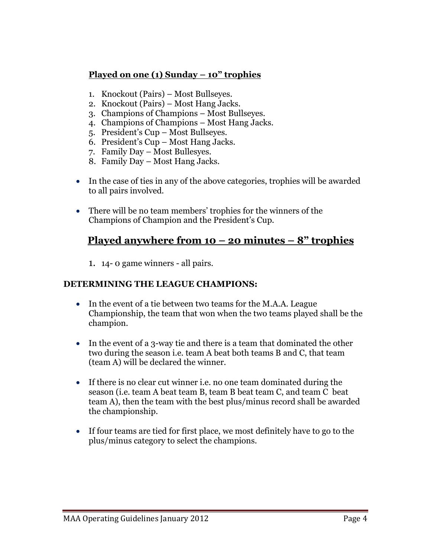#### **Played on one (1) Sunday – 10" trophies**

- 1. Knockout (Pairs) Most Bullseyes.
- 2. Knockout (Pairs) Most Hang Jacks.
- 3. Champions of Champions Most Bullseyes.
- 4. Champions of Champions Most Hang Jacks.
- 5. President's Cup Most Bullseyes.
- 6. President's Cup Most Hang Jacks.
- 7. Family Day Most Bullesyes.
- 8. Family Day Most Hang Jacks.
- In the case of ties in any of the above categories, trophies will be awarded to all pairs involved.
- There will be no team members' trophies for the winners of the Champions of Champion and the President's Cup.

### **Played anywhere from 10 – 20 minutes – 8" trophies**

1. 14- 0 game winners - all pairs.

#### **DETERMINING THE LEAGUE CHAMPIONS:**

- In the event of a tie between two teams for the M.A.A. League Championship, the team that won when the two teams played shall be the champion.
- In the event of a 3-way tie and there is a team that dominated the other two during the season i.e. team A beat both teams B and C, that team (team A) will be declared the winner.
- If there is no clear cut winner i.e. no one team dominated during the season (i.e. team A beat team B, team B beat team C, and team C beat team A), then the team with the best plus/minus record shall be awarded the championship.
- If four teams are tied for first place, we most definitely have to go to the plus/minus category to select the champions.